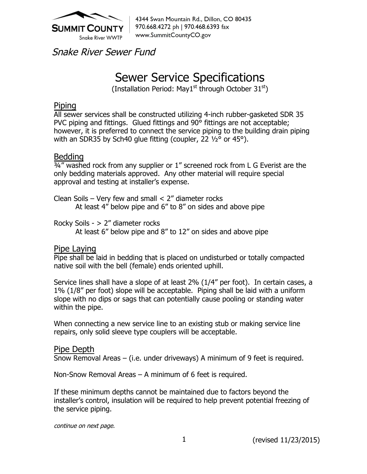

4344 Swan Mountain Rd., Dillon, CO 80435 970.668.4272 ph | 970.468.6393 fax www.SummitCountyCO.gov

Snake River Sewer Fund

# Sewer Service Specifications

(Installation Period: May1<sup>st</sup> through October  $31<sup>st</sup>$ )

### Piping

All sewer services shall be constructed utilizing 4-inch rubber-gasketed SDR 35 PVC piping and fittings. Glued fittings and 90° fittings are not acceptable; however, it is preferred to connect the service piping to the building drain piping with an SDR35 by Sch40 glue fitting (coupler, 22  $\frac{1}{2}$ ° or 45°).

## Bedding

 $\frac{3}{4}$ " washed rock from any supplier or 1" screened rock from L G Everist are the only bedding materials approved. Any other material will require special approval and testing at installer's expense.

Clean Soils – Very few and small  $<$  2" diameter rocks At least 4" below pipe and 6" to 8" on sides and above pipe

Rocky Soils - > 2" diameter rocks At least 6" below pipe and 8" to 12" on sides and above pipe

#### Pipe Laying

Pipe shall be laid in bedding that is placed on undisturbed or totally compacted native soil with the bell (female) ends oriented uphill.

Service lines shall have a slope of at least 2% (1/4" per foot). In certain cases, a 1% (1/8" per foot) slope will be acceptable. Piping shall be laid with a uniform slope with no dips or sags that can potentially cause pooling or standing water within the pipe.

When connecting a new service line to an existing stub or making service line repairs, only solid sleeve type couplers will be acceptable.

#### Pipe Depth

Snow Removal Areas – (i.e. under driveways) A minimum of 9 feet is required.

Non-Snow Removal Areas – A minimum of 6 feet is required.

If these minimum depths cannot be maintained due to factors beyond the installer's control, insulation will be required to help prevent potential freezing of the service piping.

continue on next page.